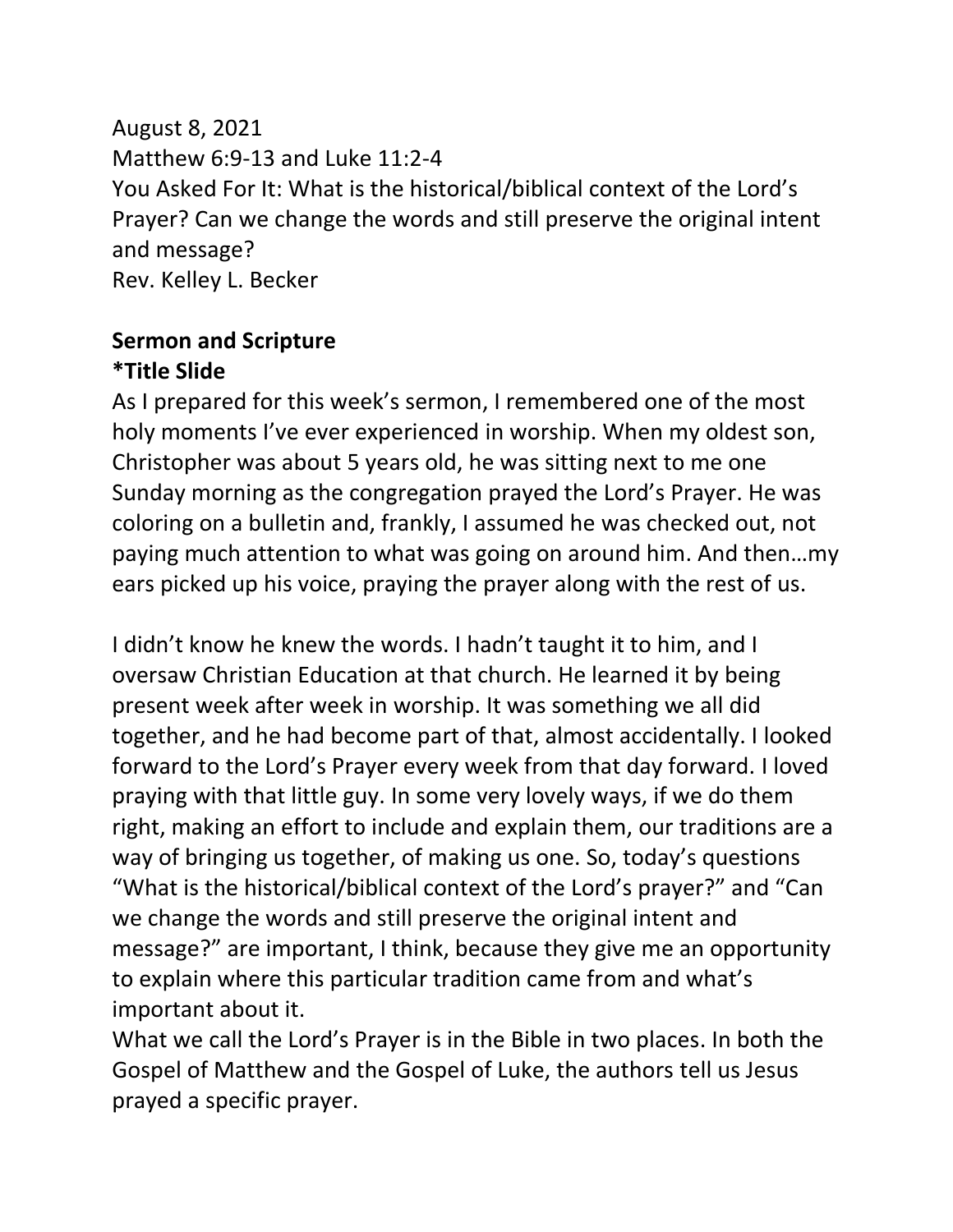August 8, 2021 Matthew 6:9-13 and Luke 11:2-4 You Asked For It: What is the historical/biblical context of the Lord's Prayer? Can we change the words and still preserve the original intent and message? Rev. Kelley L. Becker

#### **Sermon and Scripture \*Title Slide**

As I prepared for this week's sermon, I remembered one of the most holy moments I've ever experienced in worship. When my oldest son, Christopher was about 5 years old, he was sitting next to me one Sunday morning as the congregation prayed the Lord's Prayer. He was coloring on a bulletin and, frankly, I assumed he was checked out, not paying much attention to what was going on around him. And then…my ears picked up his voice, praying the prayer along with the rest of us.

I didn't know he knew the words. I hadn't taught it to him, and I oversaw Christian Education at that church. He learned it by being present week after week in worship. It was something we all did together, and he had become part of that, almost accidentally. I looked forward to the Lord's Prayer every week from that day forward. I loved praying with that little guy. In some very lovely ways, if we do them right, making an effort to include and explain them, our traditions are a way of bringing us together, of making us one. So, today's questions "What is the historical/biblical context of the Lord's prayer?" and "Can we change the words and still preserve the original intent and message?" are important, I think, because they give me an opportunity to explain where this particular tradition came from and what's important about it.

What we call the Lord's Prayer is in the Bible in two places. In both the Gospel of Matthew and the Gospel of Luke, the authors tell us Jesus prayed a specific prayer.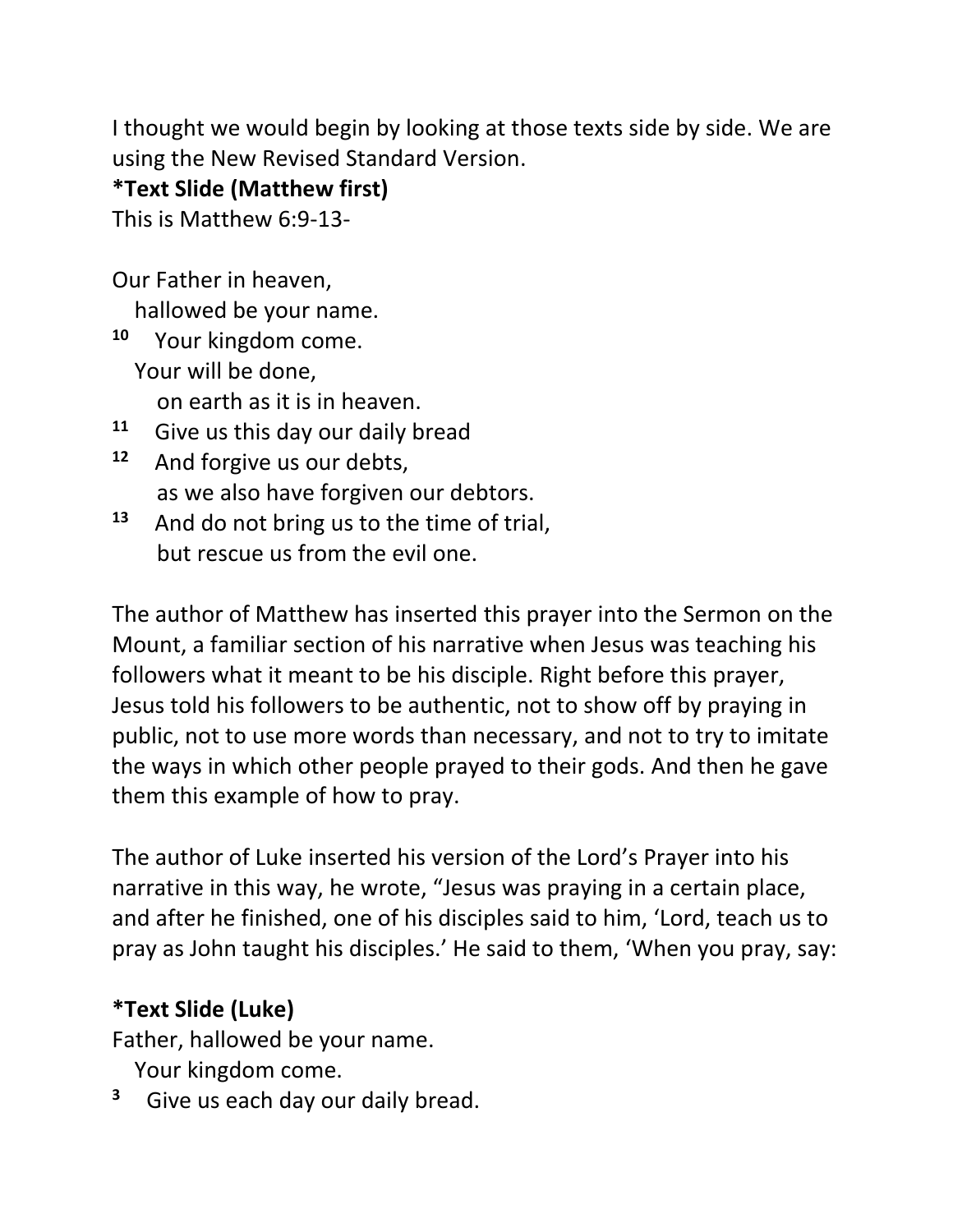I thought we would begin by looking at those texts side by side. We are using the New Revised Standard Version.

## **\*Text Slide (Matthew first)**

This is Matthew 6:9-13-

Our Father in heaven,

hallowed be your name.

**10** Your kingdom come. Your will be done,

on earth as it is in heaven.

- **11** Give us this day our daily bread
- **12** And forgive us our debts, as we also have forgiven our debtors.
- **13** And do not bring us to the time of trial, but rescue us from the evil one.

The author of Matthew has inserted this prayer into the Sermon on the Mount, a familiar section of his narrative when Jesus was teaching his followers what it meant to be his disciple. Right before this prayer, Jesus told his followers to be authentic, not to show off by praying in public, not to use more words than necessary, and not to try to imitate the ways in which other people prayed to their gods. And then he gave them this example of how to pray.

The author of Luke inserted his version of the Lord's Prayer into his narrative in this way, he wrote, "Jesus was praying in a certain place, and after he finished, one of his disciples said to him, 'Lord, teach us to pray as John taught his disciples.' He said to them, 'When you pray, say:

## **\*Text Slide (Luke)**

Father, hallowed be your name.

Your kingdom come.

**3** Give us each day our daily bread.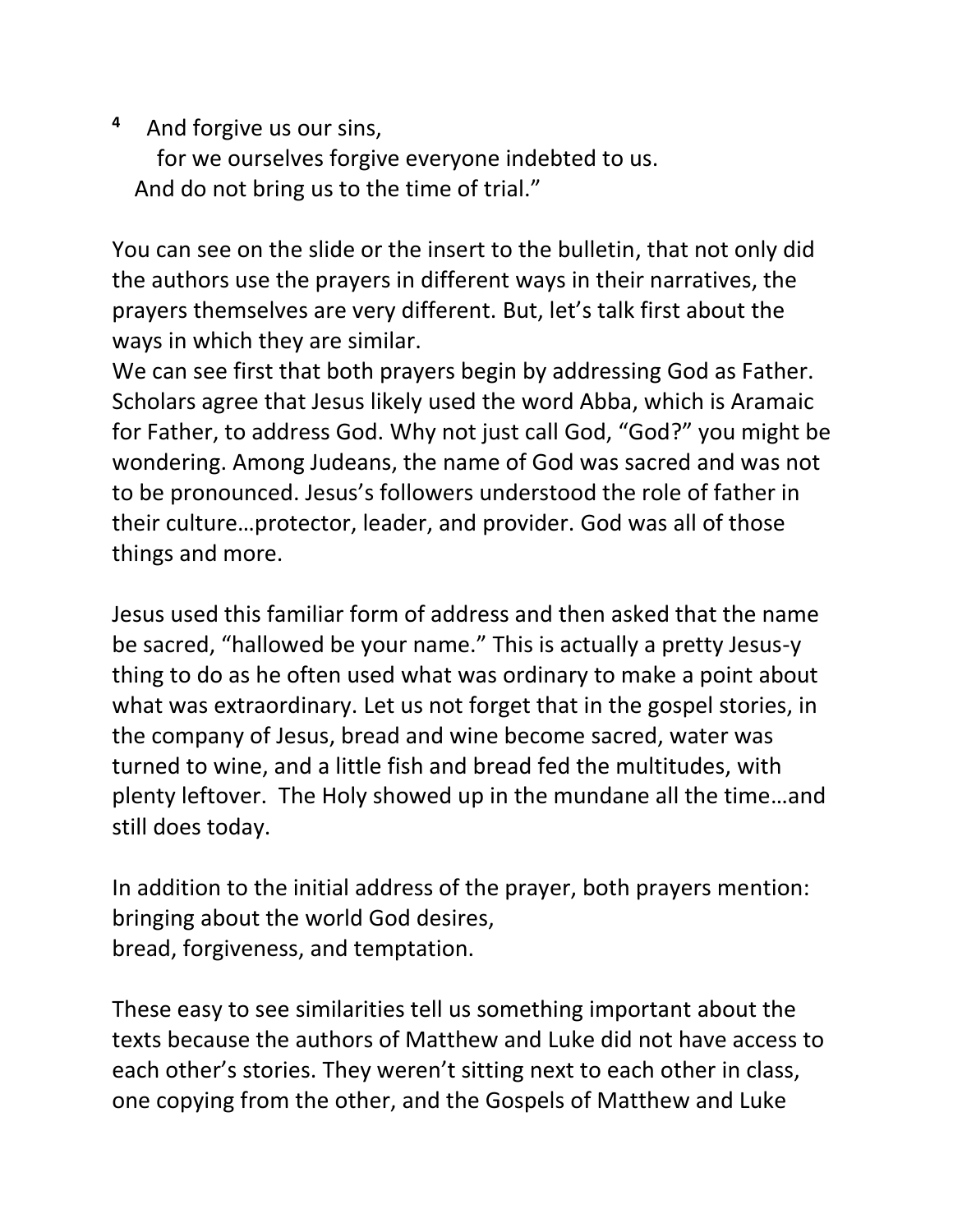**4** And forgive us our sins, for we ourselves forgive everyone indebted to us. And do not bring us to the time of trial."

You can see on the slide or the insert to the bulletin, that not only did the authors use the prayers in different ways in their narratives, the prayers themselves are very different. But, let's talk first about the ways in which they are similar.

We can see first that both prayers begin by addressing God as Father. Scholars agree that Jesus likely used the word Abba, which is Aramaic for Father, to address God. Why not just call God, "God?" you might be wondering. Among Judeans, the name of God was sacred and was not to be pronounced. Jesus's followers understood the role of father in their culture…protector, leader, and provider. God was all of those things and more.

Jesus used this familiar form of address and then asked that the name be sacred, "hallowed be your name." This is actually a pretty Jesus-y thing to do as he often used what was ordinary to make a point about what was extraordinary. Let us not forget that in the gospel stories, in the company of Jesus, bread and wine become sacred, water was turned to wine, and a little fish and bread fed the multitudes, with plenty leftover. The Holy showed up in the mundane all the time…and still does today.

In addition to the initial address of the prayer, both prayers mention: bringing about the world God desires, bread, forgiveness, and temptation.

These easy to see similarities tell us something important about the texts because the authors of Matthew and Luke did not have access to each other's stories. They weren't sitting next to each other in class, one copying from the other, and the Gospels of Matthew and Luke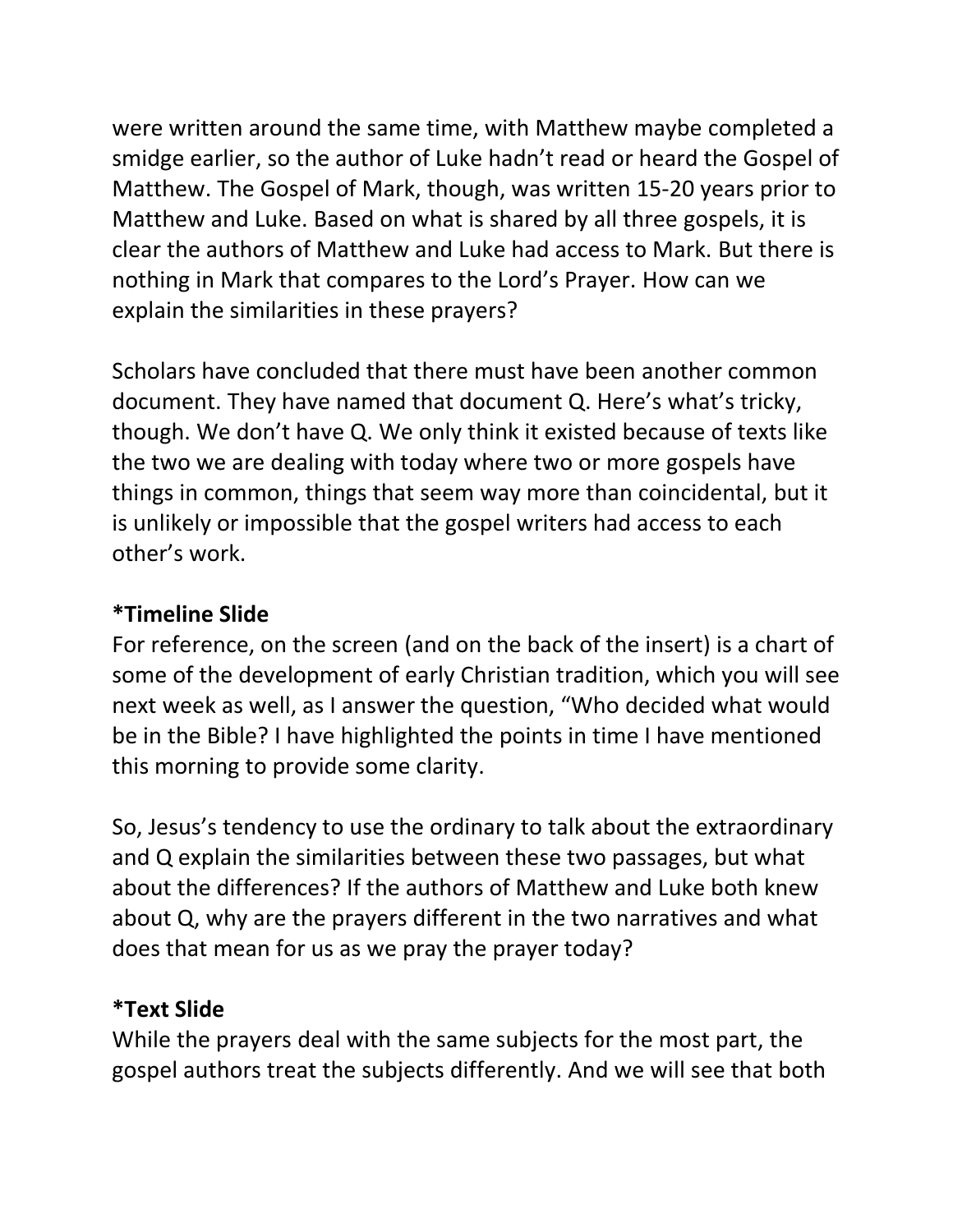were written around the same time, with Matthew maybe completed a smidge earlier, so the author of Luke hadn't read or heard the Gospel of Matthew. The Gospel of Mark, though, was written 15-20 years prior to Matthew and Luke. Based on what is shared by all three gospels, it is clear the authors of Matthew and Luke had access to Mark. But there is nothing in Mark that compares to the Lord's Prayer. How can we explain the similarities in these prayers?

Scholars have concluded that there must have been another common document. They have named that document Q. Here's what's tricky, though. We don't have Q. We only think it existed because of texts like the two we are dealing with today where two or more gospels have things in common, things that seem way more than coincidental, but it is unlikely or impossible that the gospel writers had access to each other's work.

#### **\*Timeline Slide**

For reference, on the screen (and on the back of the insert) is a chart of some of the development of early Christian tradition, which you will see next week as well, as I answer the question, "Who decided what would be in the Bible? I have highlighted the points in time I have mentioned this morning to provide some clarity.

So, Jesus's tendency to use the ordinary to talk about the extraordinary and Q explain the similarities between these two passages, but what about the differences? If the authors of Matthew and Luke both knew about Q, why are the prayers different in the two narratives and what does that mean for us as we pray the prayer today?

#### **\*Text Slide**

While the prayers deal with the same subjects for the most part, the gospel authors treat the subjects differently. And we will see that both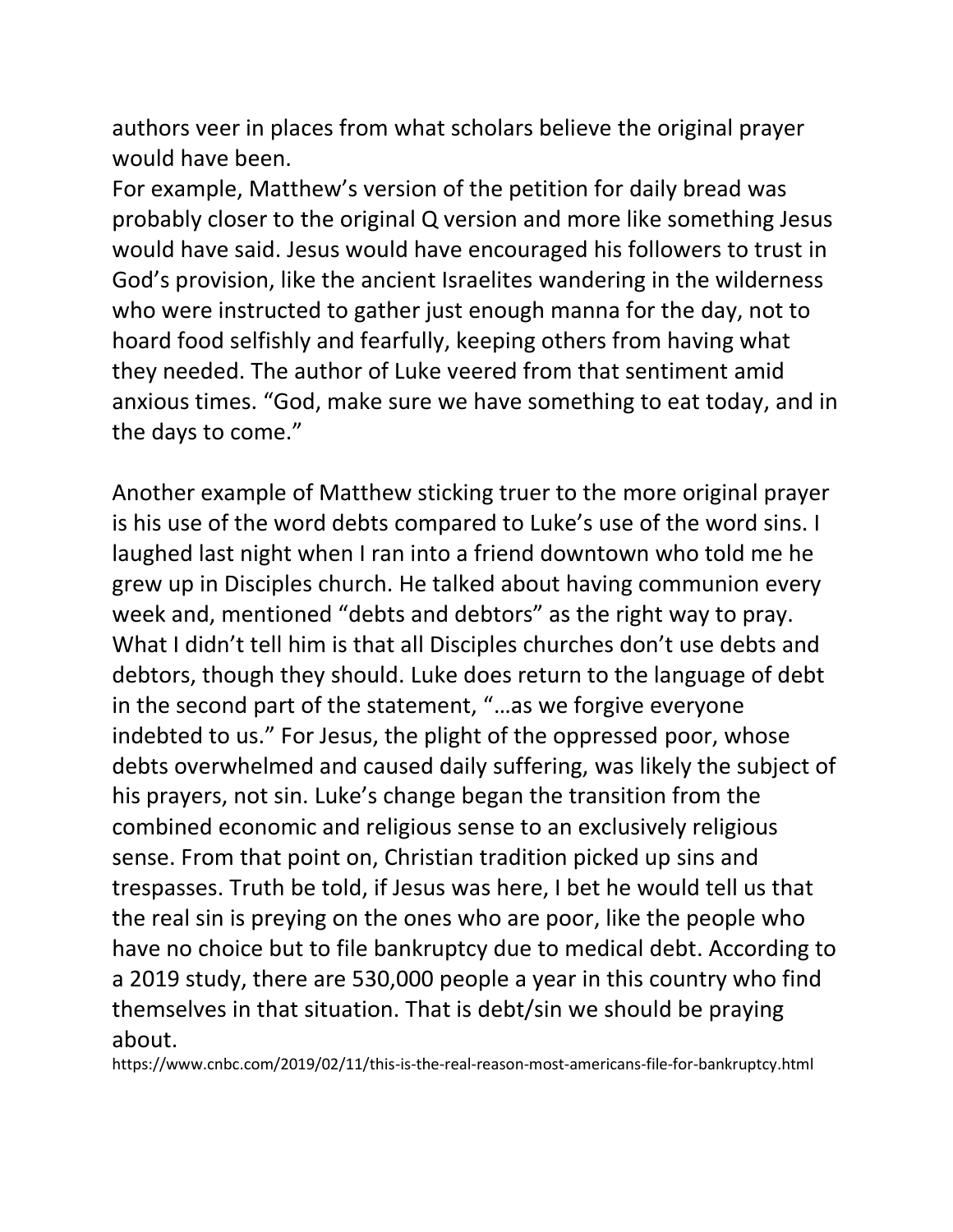authors veer in places from what scholars believe the original prayer would have been.

For example, Matthew's version of the petition for daily bread was probably closer to the original Q version and more like something Jesus would have said. Jesus would have encouraged his followers to trust in God's provision, like the ancient Israelites wandering in the wilderness who were instructed to gather just enough manna for the day, not to hoard food selfishly and fearfully, keeping others from having what they needed. The author of Luke veered from that sentiment amid anxious times. "God, make sure we have something to eat today, and in the days to come."

Another example of Matthew sticking truer to the more original prayer is his use of the word debts compared to Luke's use of the word sins. I laughed last night when I ran into a friend downtown who told me he grew up in Disciples church. He talked about having communion every week and, mentioned "debts and debtors" as the right way to pray. What I didn't tell him is that all Disciples churches don't use debts and debtors, though they should. Luke does return to the language of debt in the second part of the statement, "…as we forgive everyone indebted to us." For Jesus, the plight of the oppressed poor, whose debts overwhelmed and caused daily suffering, was likely the subject of his prayers, not sin. Luke's change began the transition from the combined economic and religious sense to an exclusively religious sense. From that point on, Christian tradition picked up sins and trespasses. Truth be told, if Jesus was here, I bet he would tell us that the real sin is preying on the ones who are poor, like the people who have no choice but to file bankruptcy due to medical debt. According to a 2019 study, there are 530,000 people a year in this country who find themselves in that situation. That is debt/sin we should be praying about.

https://www.cnbc.com/2019/02/11/this-is-the-real-reason-most-americans-file-for-bankruptcy.html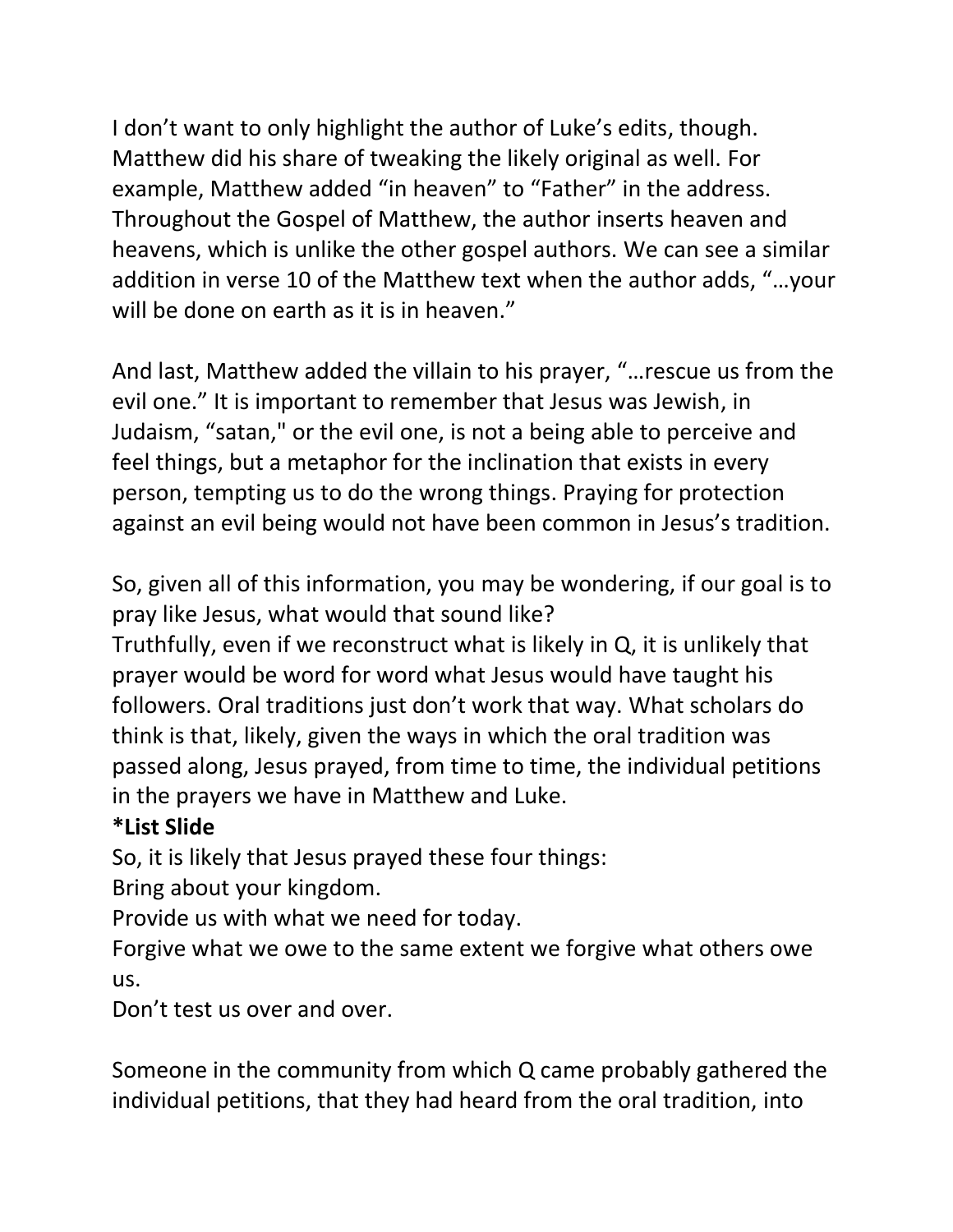I don't want to only highlight the author of Luke's edits, though. Matthew did his share of tweaking the likely original as well. For example, Matthew added "in heaven" to "Father" in the address. Throughout the Gospel of Matthew, the author inserts heaven and heavens, which is unlike the other gospel authors. We can see a similar addition in verse 10 of the Matthew text when the author adds, "…your will be done on earth as it is in heaven."

And last, Matthew added the villain to his prayer, "…rescue us from the evil one." It is important to remember that Jesus was Jewish, in Judaism, "satan," or the evil one, is not a being able to perceive and feel things, but a metaphor for the inclination that exists in every person, tempting us to do the wrong things. Praying for protection against an evil being would not have been common in Jesus's tradition.

So, given all of this information, you may be wondering, if our goal is to pray like Jesus, what would that sound like?

Truthfully, even if we reconstruct what is likely in Q, it is unlikely that prayer would be word for word what Jesus would have taught his followers. Oral traditions just don't work that way. What scholars do think is that, likely, given the ways in which the oral tradition was passed along, Jesus prayed, from time to time, the individual petitions in the prayers we have in Matthew and Luke.

## **\*List Slide**

So, it is likely that Jesus prayed these four things:

Bring about your kingdom.

Provide us with what we need for today.

Forgive what we owe to the same extent we forgive what others owe us.

Don't test us over and over.

Someone in the community from which Q came probably gathered the individual petitions, that they had heard from the oral tradition, into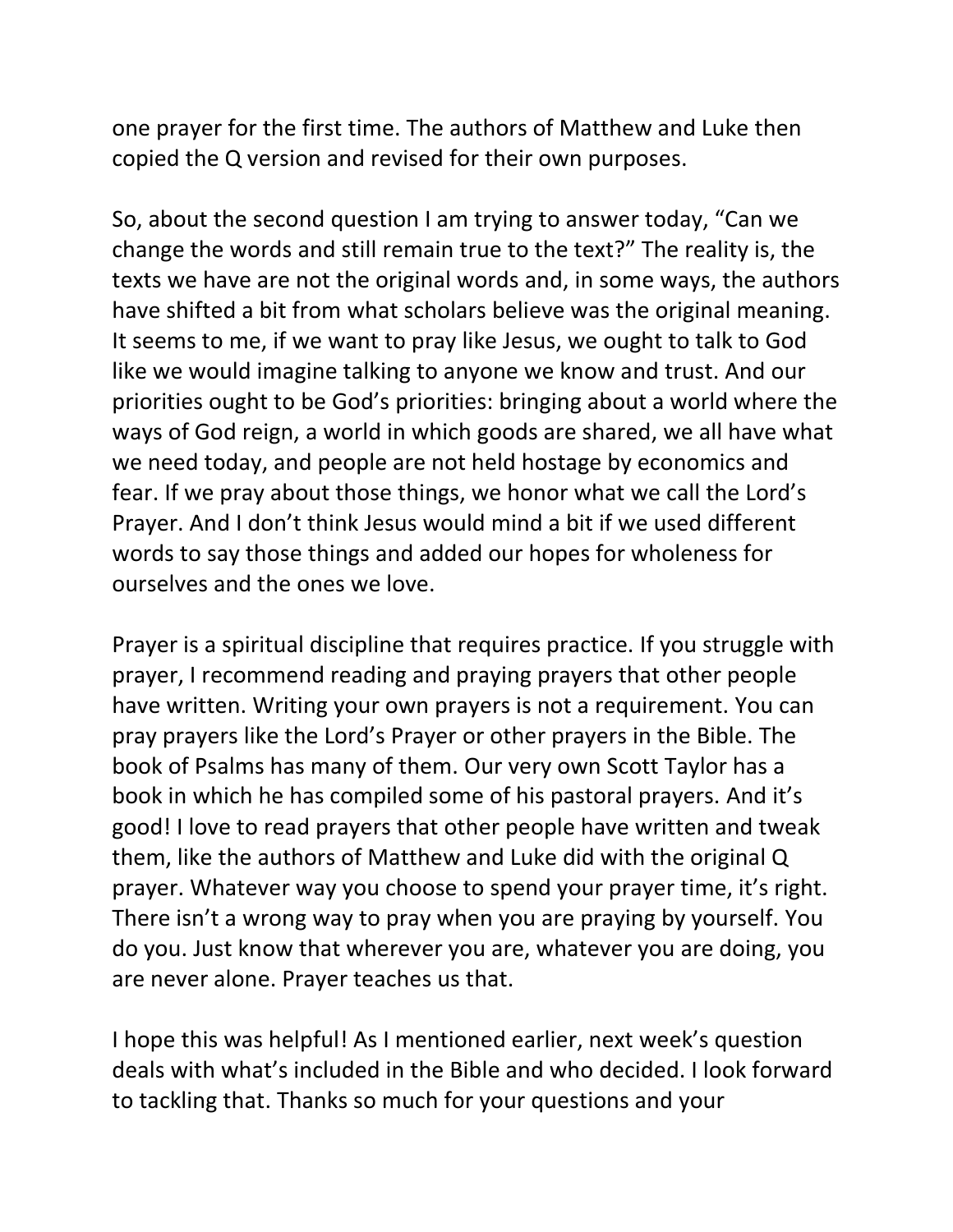one prayer for the first time. The authors of Matthew and Luke then copied the Q version and revised for their own purposes.

So, about the second question I am trying to answer today, "Can we change the words and still remain true to the text?" The reality is, the texts we have are not the original words and, in some ways, the authors have shifted a bit from what scholars believe was the original meaning. It seems to me, if we want to pray like Jesus, we ought to talk to God like we would imagine talking to anyone we know and trust. And our priorities ought to be God's priorities: bringing about a world where the ways of God reign, a world in which goods are shared, we all have what we need today, and people are not held hostage by economics and fear. If we pray about those things, we honor what we call the Lord's Prayer. And I don't think Jesus would mind a bit if we used different words to say those things and added our hopes for wholeness for ourselves and the ones we love.

Prayer is a spiritual discipline that requires practice. If you struggle with prayer, I recommend reading and praying prayers that other people have written. Writing your own prayers is not a requirement. You can pray prayers like the Lord's Prayer or other prayers in the Bible. The book of Psalms has many of them. Our very own Scott Taylor has a book in which he has compiled some of his pastoral prayers. And it's good! I love to read prayers that other people have written and tweak them, like the authors of Matthew and Luke did with the original Q prayer. Whatever way you choose to spend your prayer time, it's right. There isn't a wrong way to pray when you are praying by yourself. You do you. Just know that wherever you are, whatever you are doing, you are never alone. Prayer teaches us that.

I hope this was helpful! As I mentioned earlier, next week's question deals with what's included in the Bible and who decided. I look forward to tackling that. Thanks so much for your questions and your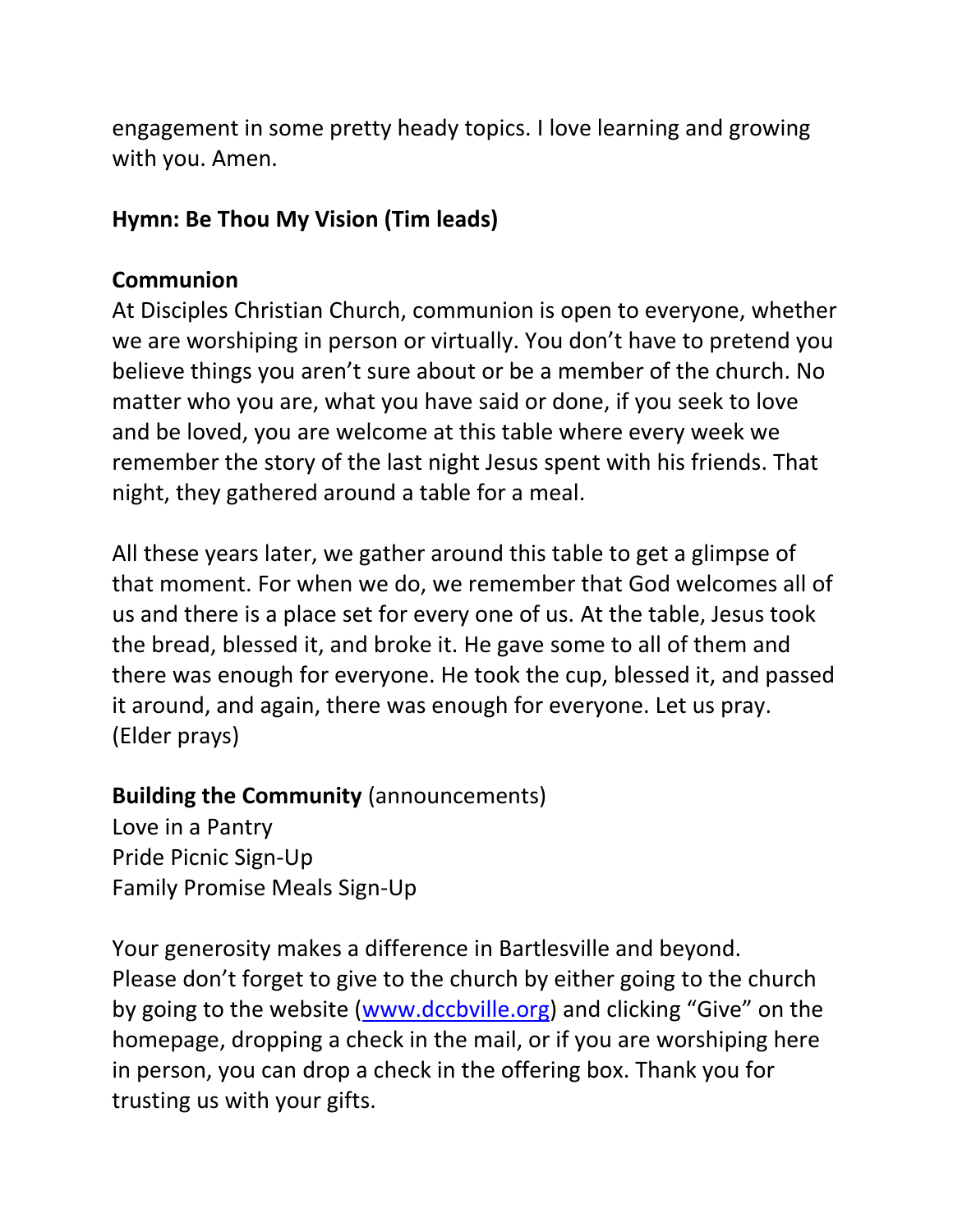engagement in some pretty heady topics. I love learning and growing with you. Amen.

#### **Hymn: Be Thou My Vision (Tim leads)**

### **Communion**

At Disciples Christian Church, communion is open to everyone, whether we are worshiping in person or virtually. You don't have to pretend you believe things you aren't sure about or be a member of the church. No matter who you are, what you have said or done, if you seek to love and be loved, you are welcome at this table where every week we remember the story of the last night Jesus spent with his friends. That night, they gathered around a table for a meal.

All these years later, we gather around this table to get a glimpse of that moment. For when we do, we remember that God welcomes all of us and there is a place set for every one of us. At the table, Jesus took the bread, blessed it, and broke it. He gave some to all of them and there was enough for everyone. He took the cup, blessed it, and passed it around, and again, there was enough for everyone. Let us pray. (Elder prays)

## **Building the Community** (announcements)

Love in a Pantry Pride Picnic Sign-Up Family Promise Meals Sign-Up

Your generosity makes a difference in Bartlesville and beyond. Please don't forget to give to the church by either going to the church by going to the website [\(www.dccbville.org](http://www.dccbville.org/)) and clicking "Give" on the homepage, dropping a check in the mail, or if you are worshiping here in person, you can drop a check in the offering box. Thank you for trusting us with your gifts.